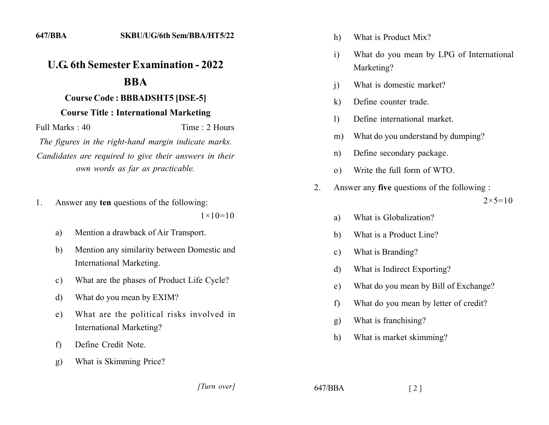## **222 222 222 222 222 222 222 222 222 222 222 222 222 222 222 222 222 222 222 222 222 222 222 222 222 222 222 222 222 222 222 222 222 222 222 222 222 222**

## $$

## **Course Title : International Marketing**

 $Full Marks: 40$  Time  $\cdot$  2 Hours

The figures in the right-hand margin indicate marks. Candidates are required to give their answers in their *own words as far as practicable.* 

1. Answer any **ten** questions of the following:

 $1 \times 10 = 10$ 

- a) Mention a drawback of Air Transport.
- b. Mention any similarity between Domestic and International Marketing.
- c) What are the phases of Product Life Cycle?
- d) What do you mean by EXIM?
- e) What are the political risks involved in International Marketing?
- f) Define Credit Note.
- g) What is Skimming Price?

*]]]]]] ]]]]]*

h) What is Product Mix?

- i) What do you mean by LPG of International Marketing?
- i) What is domestic market?
- k) Define counter trade.
- 1) Define international market.
- m) What do you understand by dumping?
- n) Define secondary package.
- o) Write the full form of WTO.
- 2. Answer any **five** questions of the following :

 $2 \times 5 = 10$ 

- a) What is Globalization?
- b) What is a Product Line?
- c) What is Branding?
- d) What is Indirect Exporting?
- e) What do you mean by Bill of Exchange?
- f) What do you mean by letter of credit?
- g) What is franchising?
- h) What is market skimming?

 $647/BBA$  [2]